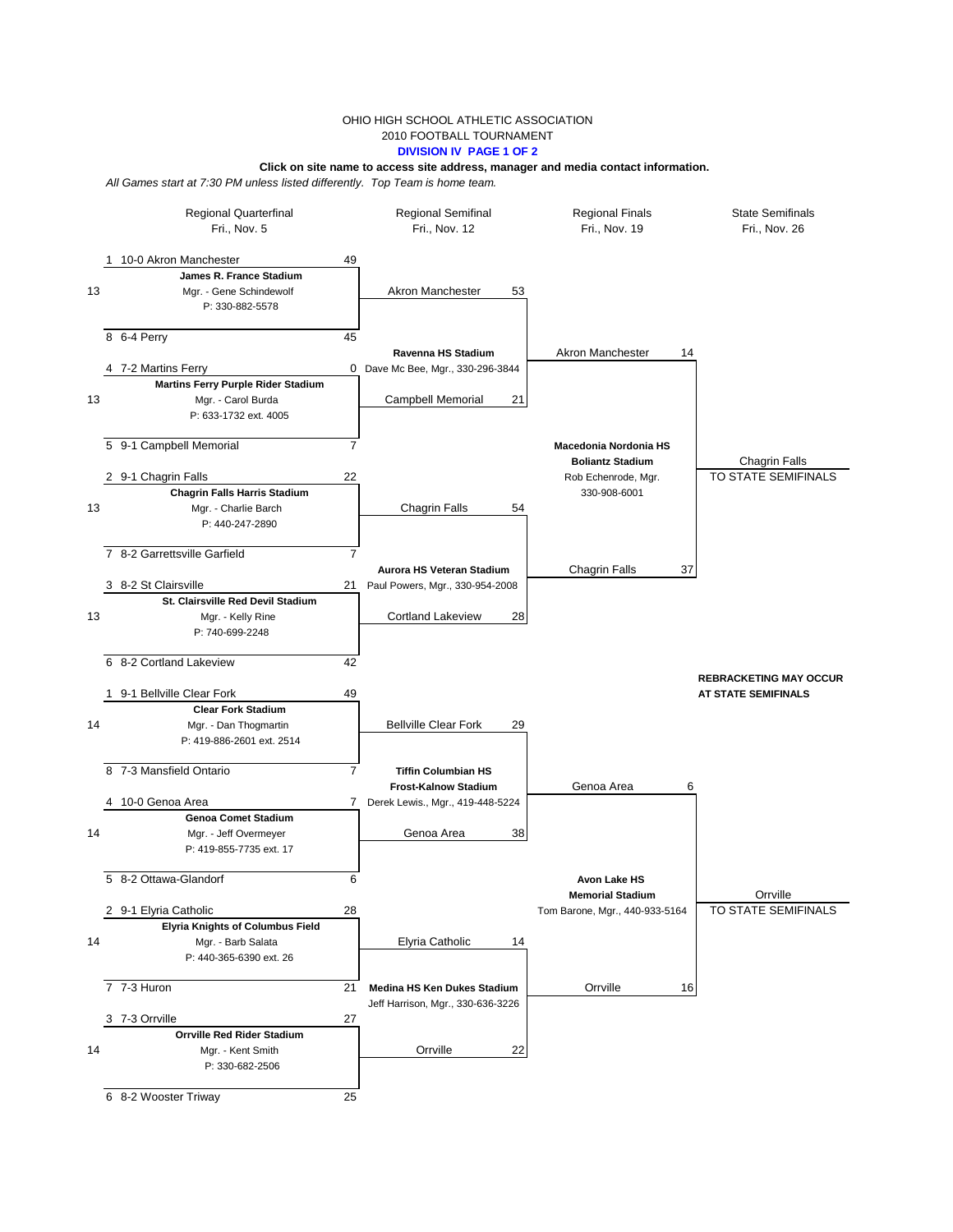## OHIO HIGH SCHOOL ATHLETIC ASSOCIATION 2010 FOOTBALL TOURNAMENT **DIVISION IV PAGE 1 OF 2**

## **Click on site name to access site address, manager and media contact information.**

*All Games start at 7:30 PM unless listed differently. Top Team is home team.*